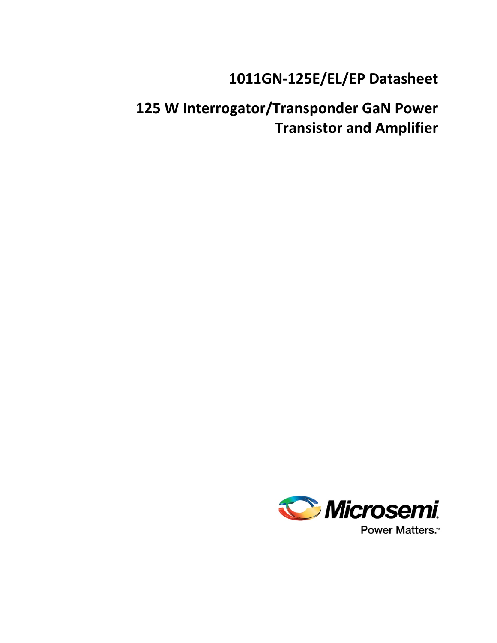# **1011GN-125E/EL/EP Datasheet**

# **125 W Interrogator/Transponder GaN Power Transistor and Amplifier**

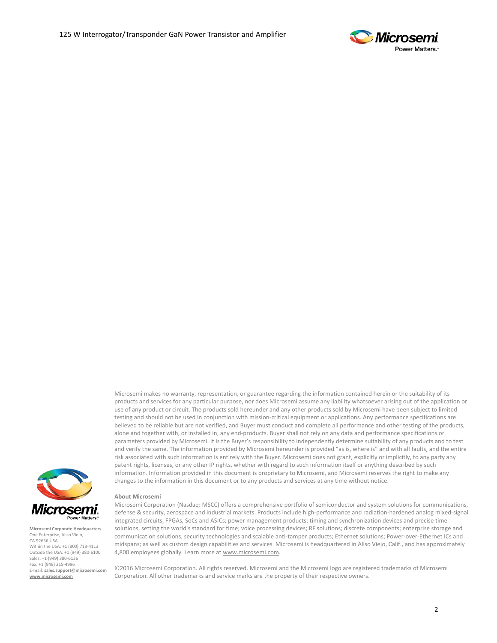

Microsemi makes no warranty, representation, or guarantee regarding the information contained herein or the suitability of its products and services for any particular purpose, nor does Microsemi assume any liability whatsoever arising out of the application or use of any product or circuit. The products sold hereunder and any other products sold by Microsemi have been subject to limited testing and should not be used in conjunction with mission-critical equipment or applications. Any performance specifications are believed to be reliable but are not verified, and Buyer must conduct and complete all performance and other testing of the products, alone and together with, or installed in, any end-products. Buyer shall not rely on any data and performance specifications or parameters provided by Microsemi. It is the Buyer's responsibility to independently determine suitability of any products and to test and verify the same. The information provided by Microsemi hereunder is provided "as is, where is" and with all faults, and the entire risk associated with such information is entirely with the Buyer. Microsemi does not grant, explicitly or implicitly, to any party any patent rights, licenses, or any other IP rights, whether with regard to such information itself or anything described by such information. Information provided in this document is proprietary to Microsemi, and Microsemi reserves the right to make any changes to the information in this document or to any products and services at any time without notice.



**Microsemi Corporate Headquarters** One Enterprise, Aliso Viejo, CA 92656 USA Within the USA: +1 (800) 713-4113 Outside the USA: +1 (949) 380-6100 Sales: +1 (949) 380-6136 Fax: +1 (949) 215-4996 E-mail: **[sales.support@microsemi.com](mailto:sales.support@microsemi.com) [www.microsemi.com](http://www.microsemi.com/)**

#### **About Microsemi**

Microsemi Corporation (Nasdaq: MSCC) offers a comprehensive portfolio of semiconductor and system solutions for communications, defense & security, aerospace and industrial markets. Products include high-performance and radiation-hardened analog mixed-signal integrated circuits, FPGAs, SoCs and ASICs; power management products; timing and synchronization devices and precise time solutions, setting the world's standard for time; voice processing devices; RF solutions; discrete components; enterprise storage and communication solutions, security technologies and scalable anti-tamper products; Ethernet solutions; Power-over-Ethernet ICs and midspans; as well as custom design capabilities and services. Microsemi is headquartered in Aliso Viejo, Calif., and has approximately 4,800 employees globally. Learn more a[t www.microsemi.com.](http://www.microsemi.com/)

©2016 Microsemi Corporation. All rights reserved. Microsemi and the Microsemi logo are registered trademarks of Microsemi Corporation. All other trademarks and service marks are the property of their respective owners.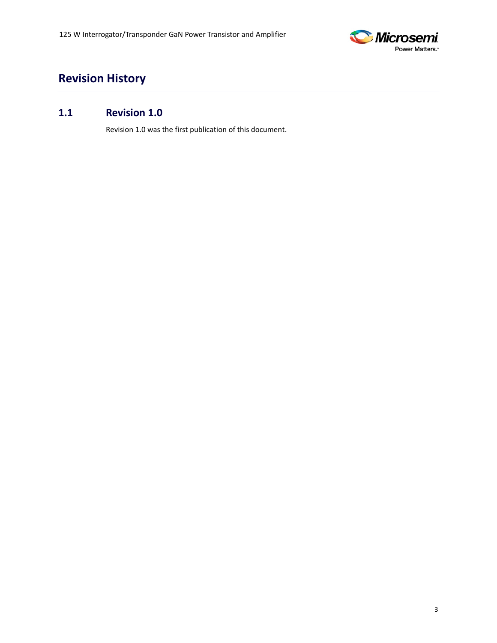

# <span id="page-2-0"></span>**Revision History**

## <span id="page-2-1"></span>**1.1 Revision 1.0**

Revision 1.0 was the first publication of this document.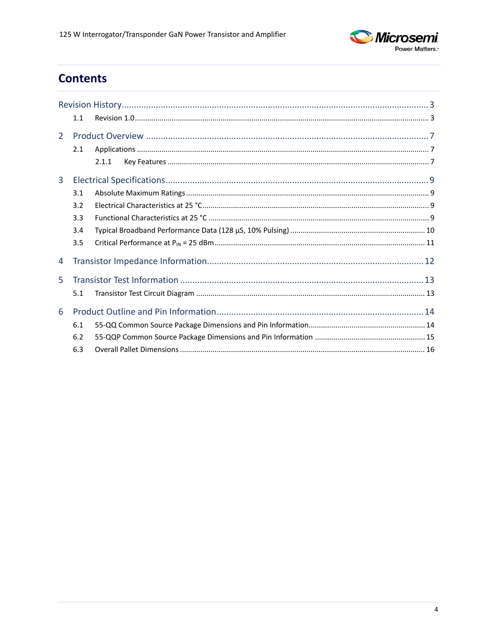

# **Contents**

|                | 1.1 |       |
|----------------|-----|-------|
| $\overline{2}$ |     |       |
|                | 2.1 |       |
|                |     | 2.1.1 |
| 3              |     |       |
|                | 3.1 |       |
|                | 3.2 |       |
|                | 3.3 |       |
|                | 3.4 |       |
|                | 3.5 |       |
| 4              |     |       |
| 5.             |     |       |
|                | 5.1 |       |
| 6              |     |       |
|                | 6.1 |       |
|                | 6.2 |       |
|                | 6.3 |       |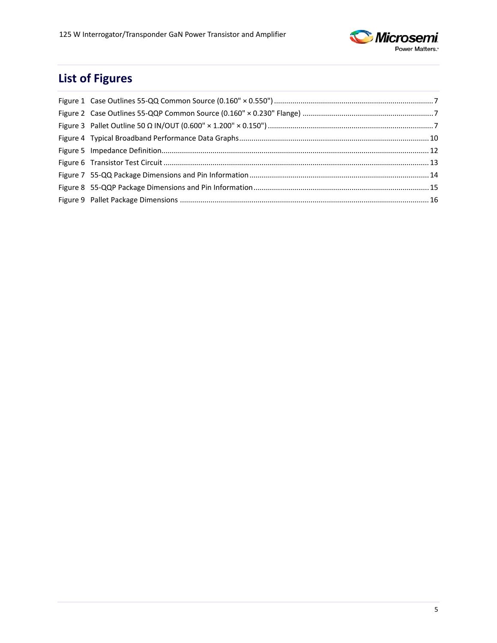

# **List of Figures**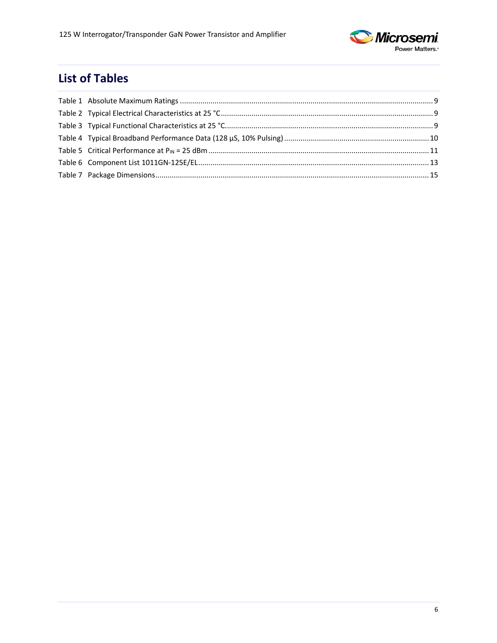

# **List of Tables**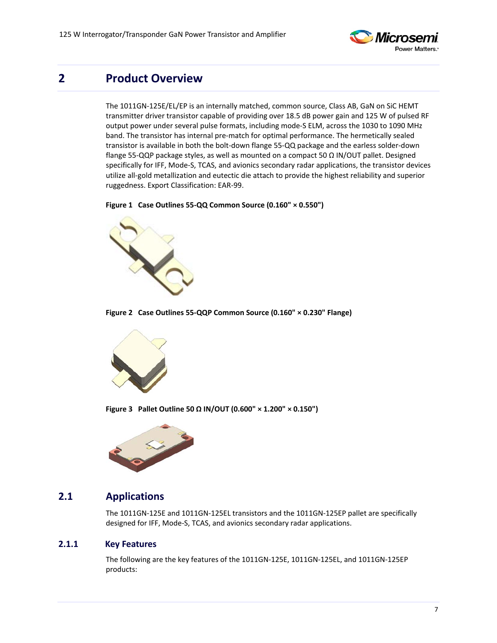

## <span id="page-6-0"></span>**2 Product Overview**

The 1011GN-125E/EL/EP is an internally matched, common source, Class AB, GaN on SiC HEMT transmitter driver transistor capable of providing over 18.5 dB power gain and 125 W of pulsed RF output power under several pulse formats, including mode-S ELM, across the 1030 to 1090 MHz band. The transistor has internal pre-match for optimal performance. The hermetically sealed transistor is available in both the bolt-down flange 55-QQ package and the earless solder-down flange 55-QQP package styles, as well as mounted on a compact 50 Ω IN/OUT pallet. Designed specifically for IFF, Mode-S, TCAS, and avionics secondary radar applications, the transistor devices utilize all-gold metallization and eutectic die attach to provide the highest reliability and superior ruggedness. Export Classification: EAR-99.

<span id="page-6-3"></span>**Figure 1 Case Outlines 55-QQ Common Source (0.160" × 0.550")**



**Figure 2 Case Outlines 55-QQP Common Source (0.160" × 0.230" Flange)** 

<span id="page-6-4"></span>

**Figure 3 Pallet Outline 50 Ω IN/OUT (0.600" × 1.200" × 0.150")**

<span id="page-6-5"></span>

#### <span id="page-6-1"></span>**2.1 Applications**

The 1011GN-125E and 1011GN-125EL transistors and the 1011GN-125EP pallet are specifically designed for IFF, Mode-S, TCAS, and avionics secondary radar applications.

#### <span id="page-6-2"></span>**2.1.1 Key Features**

The following are the key features of the 1011GN-125E, 1011GN-125EL, and 1011GN-125EP products: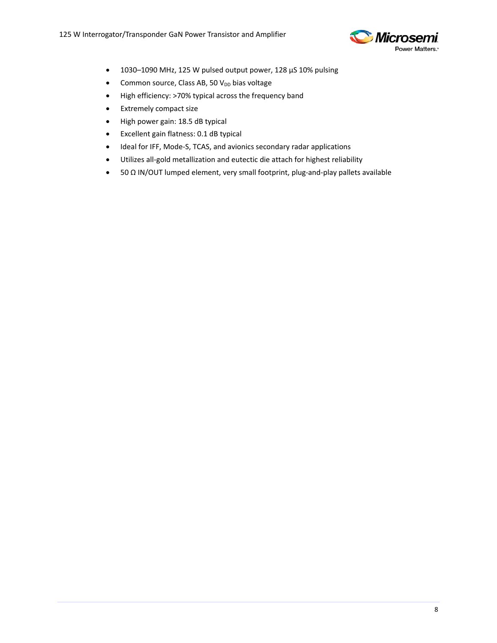

- 1030–1090 MHz, 125 W pulsed output power, 128 µS 10% pulsing
- Common source, Class AB, 50  $V_{DD}$  bias voltage
- High efficiency: >70% typical across the frequency band
- Extremely compact size
- High power gain: 18.5 dB typical
- Excellent gain flatness: 0.1 dB typical
- Ideal for IFF, Mode-S, TCAS, and avionics secondary radar applications
- Utilizes all-gold metallization and eutectic die attach for highest reliability
- 50 Ω IN/OUT lumped element, very small footprint, plug-and-play pallets available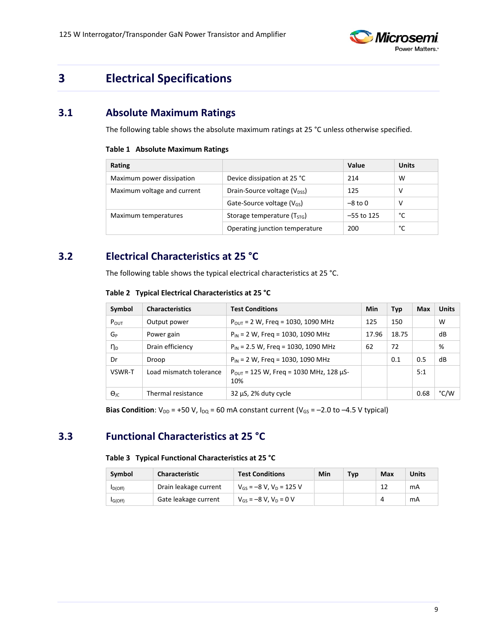

# <span id="page-8-0"></span>**3 Electrical Specifications**

### <span id="page-8-4"></span><span id="page-8-1"></span>**3.1 Absolute Maximum Ratings**

The following table shows the absolute maximum ratings at 25 °C unless otherwise specified.

#### **Table 1 Absolute Maximum Ratings**

| Rating                      |                                         | Value      | <b>Units</b> |
|-----------------------------|-----------------------------------------|------------|--------------|
| Maximum power dissipation   | Device dissipation at 25 °C             | 214        | W            |
| Maximum voltage and current | Drain-Source voltage $(V_{\text{DSS}})$ | 125        | ν            |
|                             | Gate-Source voltage $(V_{GS})$          | $-8$ to 0  | ν            |
| Maximum temperatures        | Storage temperature (T <sub>STG</sub> ) | -55 to 125 | °C           |
|                             | Operating junction temperature          | 200        | °c           |

### <span id="page-8-5"></span><span id="page-8-2"></span>**3.2 Electrical Characteristics at 25 °C**

The following table shows the typical electrical characteristics at 25 °C.

|  | Table 2 Typical Electrical Characteristics at 25 °C |  |  |  |
|--|-----------------------------------------------------|--|--|--|
|--|-----------------------------------------------------|--|--|--|

| Symbol               | <b>Characteristics</b>  | <b>Test Conditions</b>                                         | Min   | <b>Typ</b> | Max  | <b>Units</b> |
|----------------------|-------------------------|----------------------------------------------------------------|-------|------------|------|--------------|
| $P_{OUT}$            | Output power            | $P_{OUT}$ = 2 W, Freq = 1030, 1090 MHz                         | 125   | 150        |      | W            |
| G <sub>P</sub>       | Power gain              | $P_{IN}$ = 2 W, Freq = 1030, 1090 MHz                          | 17.96 | 18.75      |      | dB           |
| η <sub>D</sub>       | Drain efficiency        | $P_{IN}$ = 2.5 W, Freg = 1030, 1090 MHz                        | 62    | 72         |      | %            |
| Dr                   | Droop                   | $P_{IN}$ = 2 W, Freq = 1030, 1090 MHz                          |       | 0.1        | 0.5  | dB           |
| VSWR-T               | Load mismatch tolerance | $P_{\text{OUT}}$ = 125 W, Freg = 1030 MHz, 128 $\mu$ S-<br>10% |       |            | 5:1  |              |
| $\Theta_{\text{IC}}$ | Thermal resistance      | $32 \mu S$ , 2% duty cycle                                     |       |            | 0.68 | °C/W         |

**Bias Condition**:  $V_{DD}$  = +50 V,  $I_{DQ}$  = 60 mA constant current ( $V_{GS}$  = -2.0 to -4.5 V typical)

## <span id="page-8-6"></span><span id="page-8-3"></span>**3.3 Functional Characteristics at 25 °C**

#### **Table 3 Typical Functional Characteristics at 25 °C**

| Symbol              | <b>Characteristic</b> | <b>Test Conditions</b>          | Min | Tvp | Max | <b>Units</b> |
|---------------------|-----------------------|---------------------------------|-----|-----|-----|--------------|
| I <sub>D(Off)</sub> | Drain leakage current | $V_{GS} = -8 V$ , $V_D = 125 V$ |     |     |     | mA           |
| IG(Off)             | Gate leakage current  | $V_{GS} = -8 V$ , $V_D = 0 V$   |     |     |     | mA           |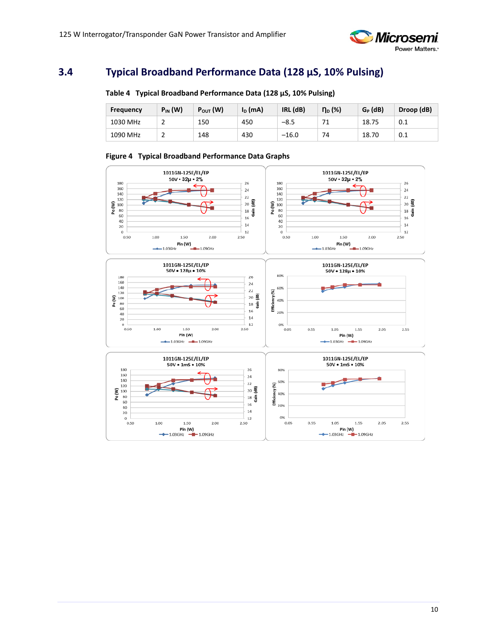

## <span id="page-9-2"></span><span id="page-9-0"></span>**3.4 Typical Broadband Performance Data (128 µS, 10% Pulsing)**

| Frequency | $P_{IN}$ (W) | $P_{\text{OUT}}(W)$ | $I_D$ (mA) | (dB)<br><b>IRL</b> | $\eta_{D}$ (%) | $G_P$ (dB) | Droop (dB) |
|-----------|--------------|---------------------|------------|--------------------|----------------|------------|------------|
| 1030 MHz  | <u>_</u>     | 150                 | 450        | $-8.5$             |                | 18.75      | 0.1        |
| 1090 MHz  | <u>_</u>     | 148                 | 430        | $-16.0$            | 74             | 18.70      | 0.1        |

#### **Table 4 Typical Broadband Performance Data (128 µS, 10% Pulsing)**

<span id="page-9-1"></span>

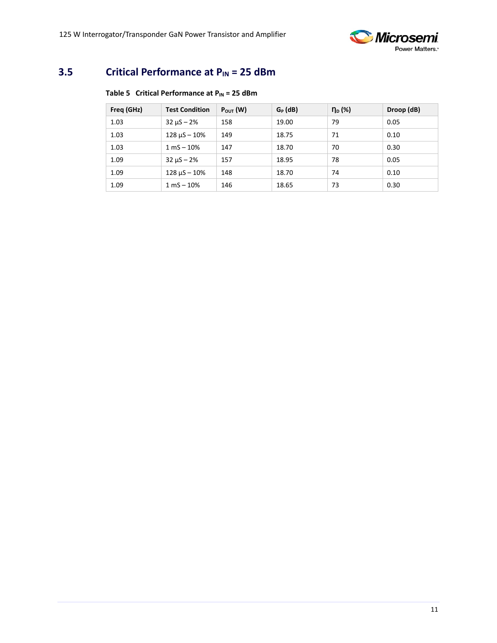

## <span id="page-10-1"></span><span id="page-10-0"></span>**3.5 Critical Performance at P<sub>IN</sub> = 25 dBm**

#### **Table 5 Critical Performance at P<sub>IN</sub> = 25 dBm**

| Freq (GHz) | <b>Test Condition</b> | $P_{\text{OUT}}(W)$ | $G_P$ (dB) | $n_{\rm D}$ (%) | Droop (dB) |
|------------|-----------------------|---------------------|------------|-----------------|------------|
| 1.03       | $32 \mu S - 2\%$      | 158                 | 19.00      | 79              | 0.05       |
| 1.03       | $128 \mu S - 10\%$    | 149                 | 18.75      | 71              | 0.10       |
| 1.03       | $1 mS - 10%$          | 147                 | 18.70      | 70              | 0.30       |
| 1.09       | $32 \mu S - 2\%$      | 157                 | 18.95      | 78              | 0.05       |
| 1.09       | $128 \mu S - 10\%$    | 148                 | 18.70      | 74              | 0.10       |
| 1.09       | $1 mS - 10%$          | 146                 | 18.65      | 73              | 0.30       |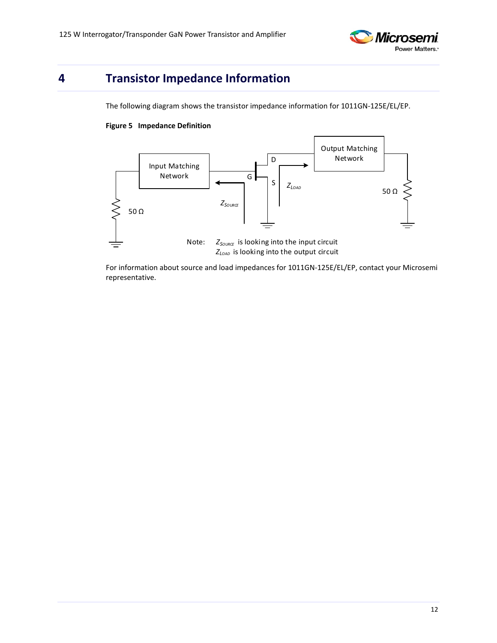

# <span id="page-11-1"></span><span id="page-11-0"></span>**4 Transistor Impedance Information**

The following diagram shows the transistor impedance information for 1011GN-125E/EL/EP.

#### **Figure 5 Impedance Definition**



For information about source and load impedances for 1011GN-125E/EL/EP, contact your Microsemi representative.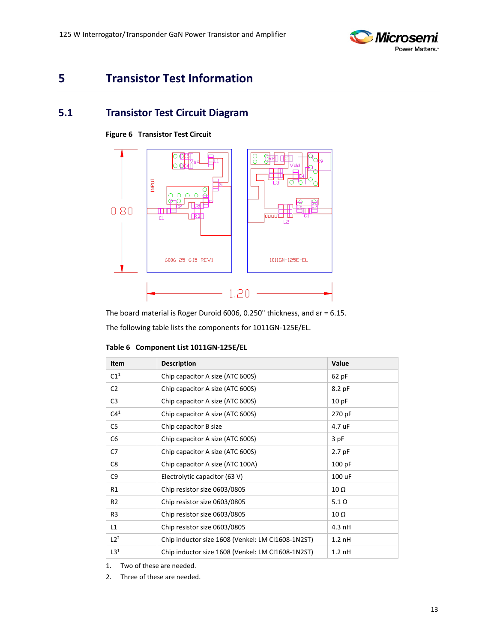

## <span id="page-12-0"></span>**5 Transistor Test Information**

#### <span id="page-12-2"></span><span id="page-12-1"></span>**5.1 Transistor Test Circuit Diagram**





The board material is Roger Duroid 6006, 0.250" thickness, and εr = 6.15. The following table lists the components for 1011GN-125E/EL.

| Item            | <b>Description</b>                                | Value        |
|-----------------|---------------------------------------------------|--------------|
| C1 <sup>1</sup> | Chip capacitor A size (ATC 600S)                  | 62 pF        |
| C <sub>2</sub>  | Chip capacitor A size (ATC 600S)                  | 8.2 pF       |
| C <sub>3</sub>  | Chip capacitor A size (ATC 600S)                  | 10pF         |
| C4 <sup>1</sup> | Chip capacitor A size (ATC 600S)                  | 270 pF       |
| C5              | Chip capacitor B size                             | 4.7 uF       |
| C <sub>6</sub>  | Chip capacitor A size (ATC 600S)                  | 3 pF         |
| C7              | Chip capacitor A size (ATC 600S)                  | 2.7 pF       |
| C8              | Chip capacitor A size (ATC 100A)                  | 100 pF       |
| C <sub>9</sub>  | Electrolytic capacitor (63 V)                     | 100 uF       |
| R1              | Chip resistor size 0603/0805                      | $10 \Omega$  |
| R2              | Chip resistor size 0603/0805                      | $5.1 \Omega$ |
| R3              | Chip resistor size 0603/0805                      | $10 \Omega$  |
| L1              | Chip resistor size 0603/0805                      | $4.3$ nH     |
| $L2^2$          | Chip inductor size 1608 (Venkel: LM CI1608-1N2ST) | $1.2$ nH     |
| L3 <sup>1</sup> | Chip inductor size 1608 (Venkel: LM CI1608-1N2ST) | $1.2$ nH     |

<span id="page-12-3"></span>**Table 6 Component List 1011GN-125E/EL**

1. Two of these are needed.

2. Three of these are needed.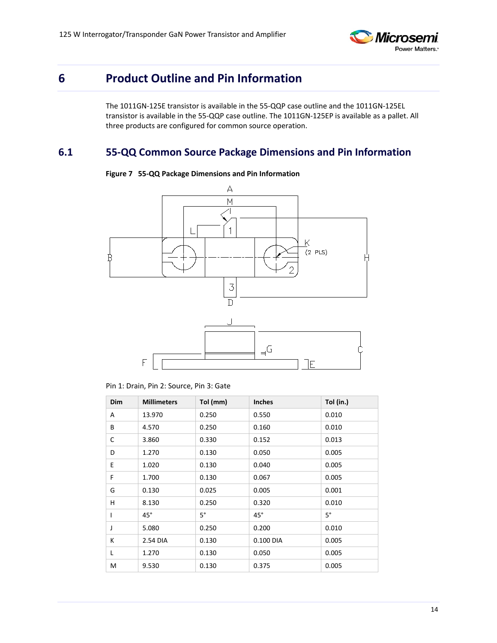

## <span id="page-13-0"></span>**6 Product Outline and Pin Information**

The 1011GN-125E transistor is available in the 55-QQP case outline and the 1011GN-125EL transistor is available in the 55-QQP case outline. The 1011GN-125EP is available as a pallet. All three products are configured for common source operation.

### <span id="page-13-2"></span><span id="page-13-1"></span>**6.1 55-QQ Common Source Package Dimensions and Pin Information**



#### **Figure 7 55-QQ Package Dimensions and Pin Information**

Pin 1: Drain, Pin 2: Source, Pin 3: Gate

| Dim | <b>Millimeters</b> | Tol (mm)    | <b>Inches</b> | Tol (in.) |
|-----|--------------------|-------------|---------------|-----------|
| Α   | 13.970             | 0.250       | 0.550         | 0.010     |
| В   | 4.570              | 0.250       | 0.160         | 0.010     |
| C   | 3.860              | 0.330       | 0.152         | 0.013     |
| D   | 1.270              | 0.130       | 0.050         | 0.005     |
| E   | 1.020              | 0.130       | 0.040         | 0.005     |
| F   | 1.700              | 0.130       | 0.067         | 0.005     |
| G   | 0.130              | 0.025       | 0.005         | 0.001     |
| H   | 8.130              | 0.250       | 0.320         | 0.010     |
| I   | $45^\circ$         | $5^{\circ}$ | $45^{\circ}$  | $5^\circ$ |
| J   | 5.080              | 0.250       | 0.200         | 0.010     |
| К   | 2.54 DIA           | 0.130       | 0.100 DIA     | 0.005     |
| L   | 1.270              | 0.130       | 0.050         | 0.005     |
| М   | 9.530              | 0.130       | 0.375         | 0.005     |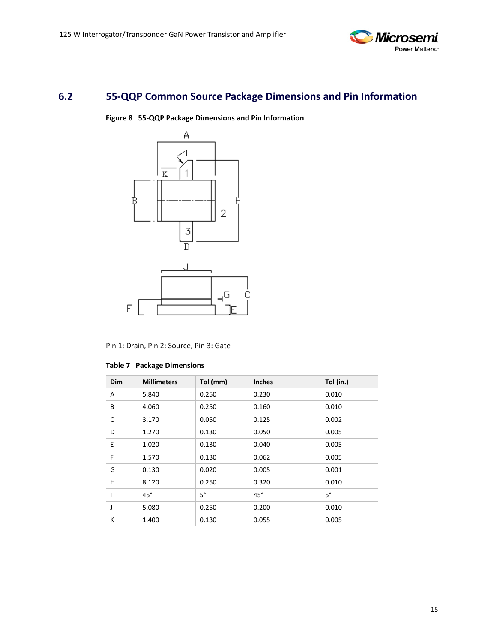

## <span id="page-14-1"></span><span id="page-14-0"></span>**6.2 55-QQP Common Source Package Dimensions and Pin Information**

**Figure 8 55-QQP Package Dimensions and Pin Information**



Pin 1: Drain, Pin 2: Source, Pin 3: Gate

<span id="page-14-2"></span>

|  |  | <b>Table 7 Package Dimensions</b> |
|--|--|-----------------------------------|
|--|--|-----------------------------------|

| Dim | <b>Millimeters</b> | Tol (mm)    | <b>Inches</b> | Tol (in.) |
|-----|--------------------|-------------|---------------|-----------|
| A   | 5.840              | 0.250       | 0.230         | 0.010     |
| В   | 4.060              | 0.250       | 0.160         | 0.010     |
| C   | 3.170              | 0.050       | 0.125         | 0.002     |
| D   | 1.270              | 0.130       | 0.050         | 0.005     |
| Ε   | 1.020              | 0.130       | 0.040         | 0.005     |
| F   | 1.570              | 0.130       | 0.062         | 0.005     |
| G   | 0.130              | 0.020       | 0.005         | 0.001     |
| н   | 8.120              | 0.250       | 0.320         | 0.010     |
|     | $45^\circ$         | $5^{\circ}$ | $45^{\circ}$  | $5^\circ$ |
| J   | 5.080              | 0.250       | 0.200         | 0.010     |
| K   | 1.400              | 0.130       | 0.055         | 0.005     |